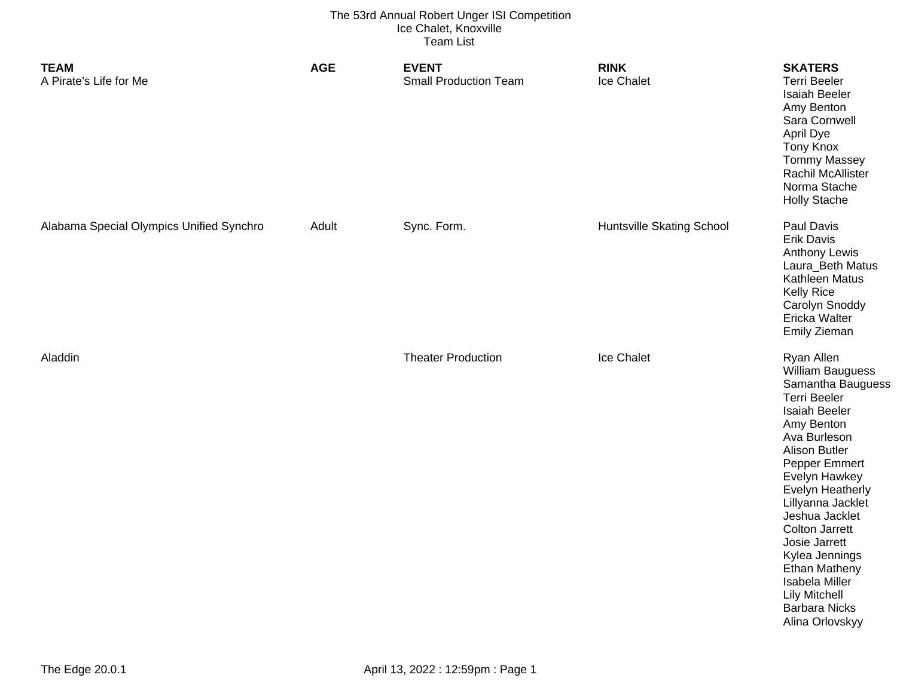| <b>TEAM</b><br>A Pirate's Life for Me    | <b>AGE</b> | <b>EVENT</b><br><b>Small Production Team</b> | <b>RINK</b><br>Ice Chalet        | <b>SKATERS</b><br><b>Terri Beeler</b><br><b>Isaiah Beeler</b><br>Amy Benton<br>Sara Cornwell<br>April Dye<br><b>Tony Knox</b><br><b>Tommy Massey</b><br>Rachil McAllister<br>Norma Stache<br><b>Holly Stache</b>                                                                                                                                                                                                               |
|------------------------------------------|------------|----------------------------------------------|----------------------------------|--------------------------------------------------------------------------------------------------------------------------------------------------------------------------------------------------------------------------------------------------------------------------------------------------------------------------------------------------------------------------------------------------------------------------------|
| Alabama Special Olympics Unified Synchro | Adult      | Sync. Form.                                  | <b>Huntsville Skating School</b> | Paul Davis<br><b>Erik Davis</b><br><b>Anthony Lewis</b><br>Laura_Beth Matus<br>Kathleen Matus<br><b>Kelly Rice</b><br>Carolyn Snoddy<br>Ericka Walter<br>Emily Zieman                                                                                                                                                                                                                                                          |
| Aladdin                                  |            | <b>Theater Production</b>                    | Ice Chalet                       | Ryan Allen<br>William Bauguess<br>Samantha Bauguess<br><b>Terri Beeler</b><br><b>Isaiah Beeler</b><br>Amy Benton<br>Ava Burleson<br><b>Alison Butler</b><br>Pepper Emmert<br>Evelyn Hawkey<br><b>Evelyn Heatherly</b><br>Lillyanna Jacklet<br>Jeshua Jacklet<br><b>Colton Jarrett</b><br>Josie Jarrett<br>Kylea Jennings<br>Ethan Matheny<br>Isabela Miller<br><b>Lily Mitchell</b><br><b>Barbara Nicks</b><br>Alina Orlovskyy |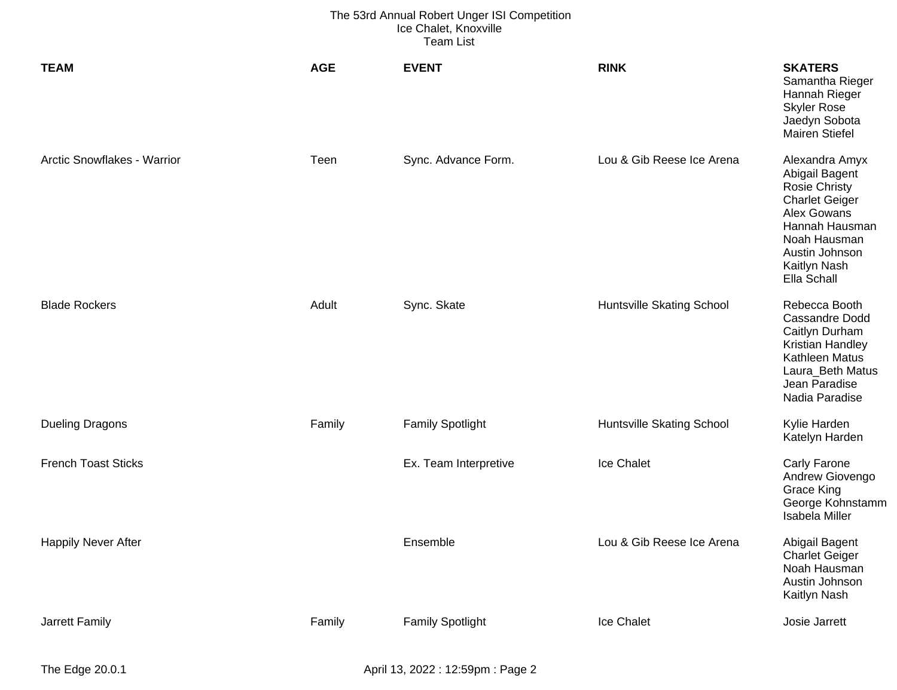| <b>TEAM</b>                 | <b>AGE</b> | <b>EVENT</b>            | <b>RINK</b>               | <b>SKATERS</b><br>Samantha Rieger<br>Hannah Rieger<br><b>Skyler Rose</b><br>Jaedyn Sobota<br><b>Mairen Stiefel</b>                                                                  |
|-----------------------------|------------|-------------------------|---------------------------|-------------------------------------------------------------------------------------------------------------------------------------------------------------------------------------|
| Arctic Snowflakes - Warrior | Teen       | Sync. Advance Form.     | Lou & Gib Reese Ice Arena | Alexandra Amyx<br>Abigail Bagent<br><b>Rosie Christy</b><br><b>Charlet Geiger</b><br>Alex Gowans<br>Hannah Hausman<br>Noah Hausman<br>Austin Johnson<br>Kaitlyn Nash<br>Ella Schall |
| <b>Blade Rockers</b>        | Adult      | Sync. Skate             | Huntsville Skating School | Rebecca Booth<br><b>Cassandre Dodd</b><br>Caitlyn Durham<br>Kristian Handley<br>Kathleen Matus<br>Laura_Beth Matus<br>Jean Paradise<br>Nadia Paradise                               |
| <b>Dueling Dragons</b>      | Family     | <b>Family Spotlight</b> | Huntsville Skating School | Kylie Harden<br>Katelyn Harden                                                                                                                                                      |
| <b>French Toast Sticks</b>  |            | Ex. Team Interpretive   | Ice Chalet                | <b>Carly Farone</b><br>Andrew Giovengo<br><b>Grace King</b><br>George Kohnstamm<br>Isabela Miller                                                                                   |
| <b>Happily Never After</b>  |            | Ensemble                | Lou & Gib Reese Ice Arena | Abigail Bagent<br><b>Charlet Geiger</b><br>Noah Hausman<br>Austin Johnson<br>Kaitlyn Nash                                                                                           |
| Jarrett Family              | Family     | <b>Family Spotlight</b> | Ice Chalet                | Josie Jarrett                                                                                                                                                                       |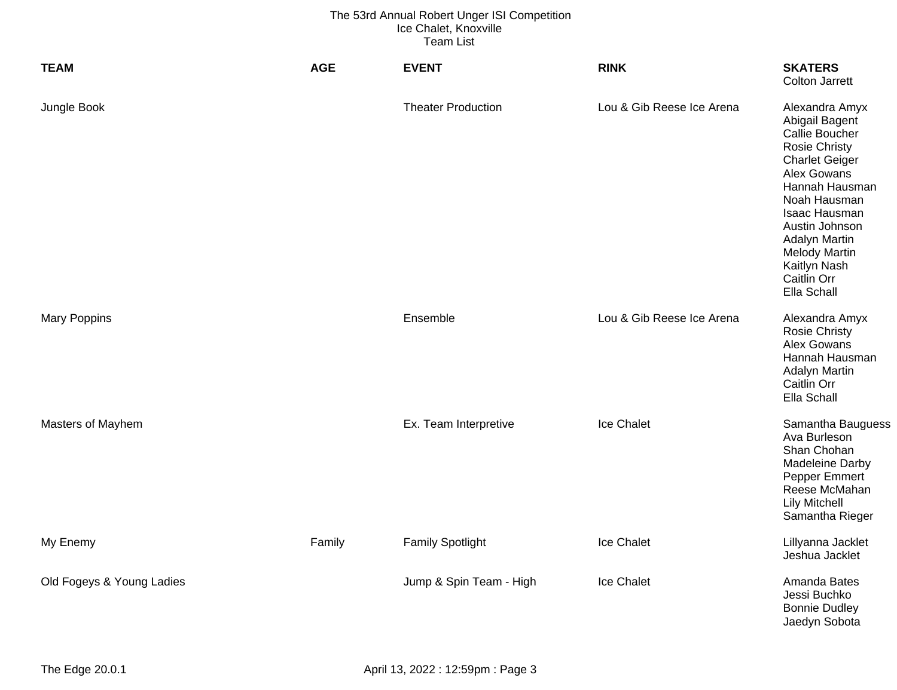| <b>TEAM</b>               | <b>AGE</b> | <b>EVENT</b>              | <b>RINK</b>               | <b>SKATERS</b><br><b>Colton Jarrett</b>                                                                                                                                                                                                                                        |
|---------------------------|------------|---------------------------|---------------------------|--------------------------------------------------------------------------------------------------------------------------------------------------------------------------------------------------------------------------------------------------------------------------------|
| Jungle Book               |            | <b>Theater Production</b> | Lou & Gib Reese Ice Arena | Alexandra Amyx<br>Abigail Bagent<br>Callie Boucher<br><b>Rosie Christy</b><br><b>Charlet Geiger</b><br>Alex Gowans<br>Hannah Hausman<br>Noah Hausman<br>Isaac Hausman<br>Austin Johnson<br>Adalyn Martin<br><b>Melody Martin</b><br>Kaitlyn Nash<br>Caitlin Orr<br>Ella Schall |
| <b>Mary Poppins</b>       |            | Ensemble                  | Lou & Gib Reese Ice Arena | Alexandra Amyx<br><b>Rosie Christy</b><br>Alex Gowans<br>Hannah Hausman<br><b>Adalyn Martin</b><br>Caitlin Orr<br>Ella Schall                                                                                                                                                  |
| Masters of Mayhem         |            | Ex. Team Interpretive     | Ice Chalet                | Samantha Bauguess<br>Ava Burleson<br>Shan Chohan<br>Madeleine Darby<br>Pepper Emmert<br>Reese McMahan<br><b>Lily Mitchell</b><br>Samantha Rieger                                                                                                                               |
| My Enemy                  | Family     | <b>Family Spotlight</b>   | Ice Chalet                | Lillyanna Jacklet<br>Jeshua Jacklet                                                                                                                                                                                                                                            |
| Old Fogeys & Young Ladies |            | Jump & Spin Team - High   | Ice Chalet                | Amanda Bates<br>Jessi Buchko<br><b>Bonnie Dudley</b><br>Jaedyn Sobota                                                                                                                                                                                                          |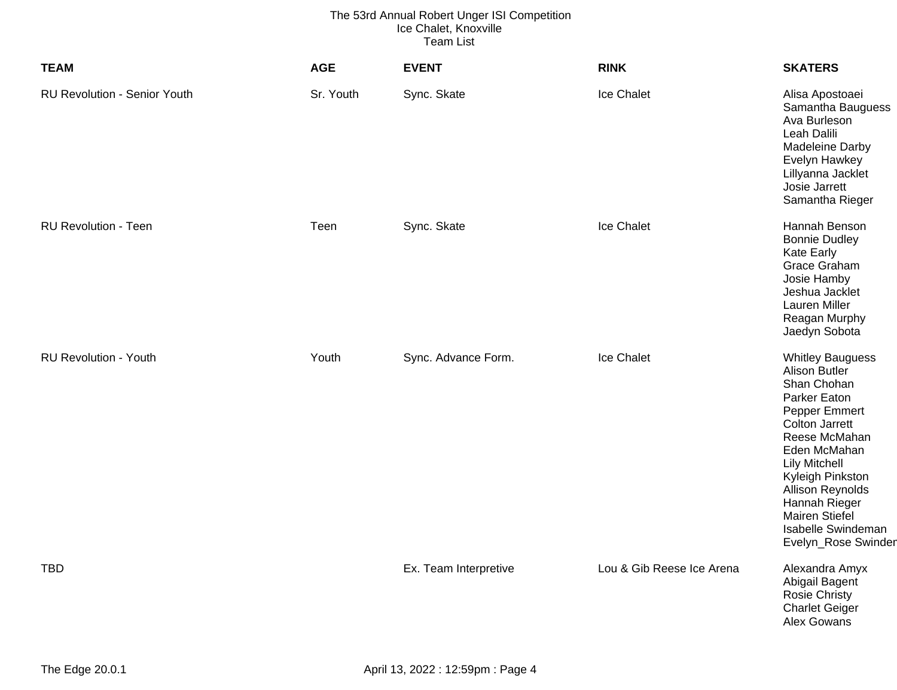| <b>TEAM</b>                         | <b>AGE</b> | <b>EVENT</b>          | <b>RINK</b>               | <b>SKATERS</b>                                                                                                                                                                                                                                                                                            |
|-------------------------------------|------------|-----------------------|---------------------------|-----------------------------------------------------------------------------------------------------------------------------------------------------------------------------------------------------------------------------------------------------------------------------------------------------------|
| <b>RU Revolution - Senior Youth</b> | Sr. Youth  | Sync. Skate           | Ice Chalet                | Alisa Apostoaei<br>Samantha Bauguess<br>Ava Burleson<br>Leah Dalili<br>Madeleine Darby<br>Evelyn Hawkey<br>Lillyanna Jacklet<br>Josie Jarrett<br>Samantha Rieger                                                                                                                                          |
| <b>RU Revolution - Teen</b>         | Teen       | Sync. Skate           | Ice Chalet                | Hannah Benson<br><b>Bonnie Dudley</b><br><b>Kate Early</b><br>Grace Graham<br>Josie Hamby<br>Jeshua Jacklet<br>Lauren Miller<br>Reagan Murphy<br>Jaedyn Sobota                                                                                                                                            |
| <b>RU Revolution - Youth</b>        | Youth      | Sync. Advance Form.   | Ice Chalet                | <b>Whitley Bauguess</b><br><b>Alison Butler</b><br>Shan Chohan<br>Parker Eaton<br>Pepper Emmert<br><b>Colton Jarrett</b><br>Reese McMahan<br>Eden McMahan<br><b>Lily Mitchell</b><br>Kyleigh Pinkston<br>Allison Reynolds<br>Hannah Rieger<br>Mairen Stiefel<br>Isabelle Swindeman<br>Evelyn_Rose Swinder |
| <b>TBD</b>                          |            | Ex. Team Interpretive | Lou & Gib Reese Ice Arena | Alexandra Amyx<br>Abigail Bagent<br>Rosie Christy<br><b>Charlet Geiger</b><br>Alex Gowans                                                                                                                                                                                                                 |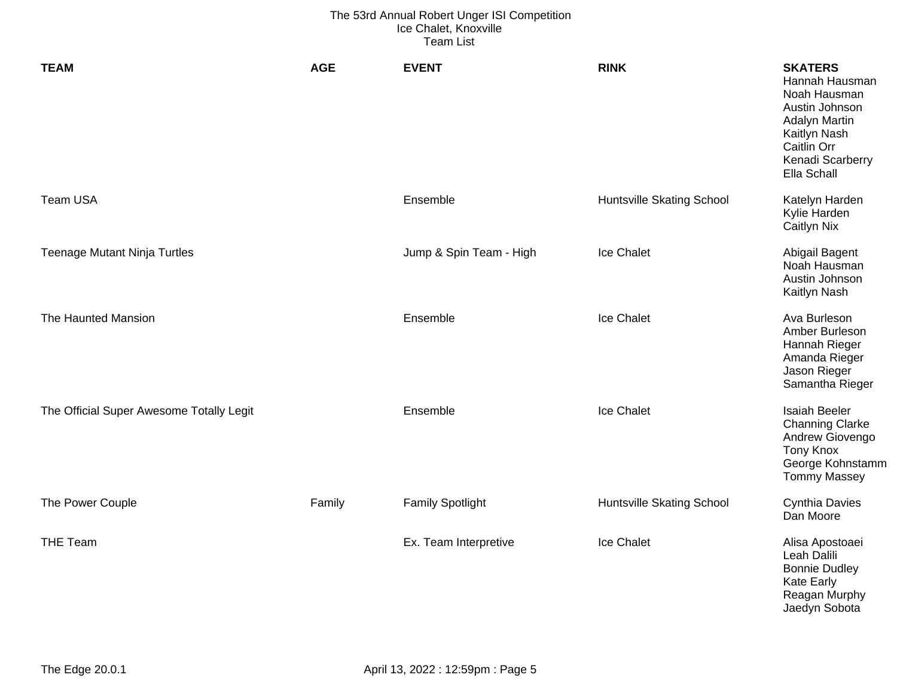| <b>TEAM</b>                              | <b>AGE</b> | <b>EVENT</b>            | <b>RINK</b>                      | <b>SKATERS</b><br>Hannah Hausman<br>Noah Hausman<br>Austin Johnson<br><b>Adalyn Martin</b><br>Kaitlyn Nash<br>Caitlin Orr<br>Kenadi Scarberry<br>Ella Schall |
|------------------------------------------|------------|-------------------------|----------------------------------|--------------------------------------------------------------------------------------------------------------------------------------------------------------|
| Team USA                                 |            | Ensemble                | <b>Huntsville Skating School</b> | Katelyn Harden<br>Kylie Harden<br><b>Caitlyn Nix</b>                                                                                                         |
| <b>Teenage Mutant Ninja Turtles</b>      |            | Jump & Spin Team - High | Ice Chalet                       | Abigail Bagent<br>Noah Hausman<br>Austin Johnson<br>Kaitlyn Nash                                                                                             |
| The Haunted Mansion                      |            | Ensemble                | Ice Chalet                       | Ava Burleson<br>Amber Burleson<br>Hannah Rieger<br>Amanda Rieger<br>Jason Rieger<br>Samantha Rieger                                                          |
| The Official Super Awesome Totally Legit |            | Ensemble                | Ice Chalet                       | <b>Isaiah Beeler</b><br><b>Channing Clarke</b><br>Andrew Giovengo<br><b>Tony Knox</b><br>George Kohnstamm<br><b>Tommy Massey</b>                             |
| The Power Couple                         | Family     | <b>Family Spotlight</b> | <b>Huntsville Skating School</b> | <b>Cynthia Davies</b><br>Dan Moore                                                                                                                           |
| <b>THE Team</b>                          |            | Ex. Team Interpretive   | Ice Chalet                       | Alisa Apostoaei<br>Leah Dalili<br><b>Bonnie Dudley</b><br><b>Kate Early</b><br>Reagan Murphy<br>Jaedyn Sobota                                                |